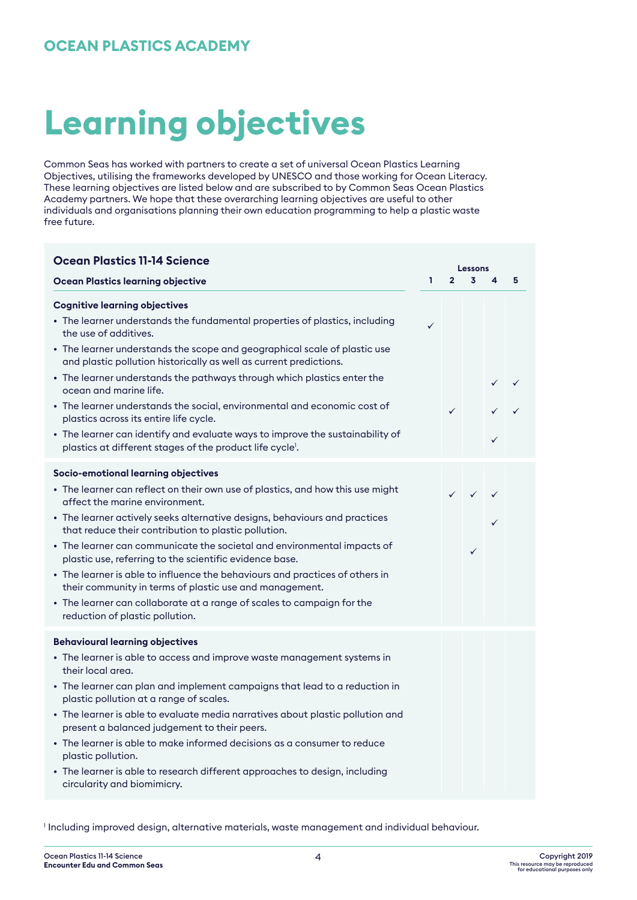# **OCEAN PLASTICS ACADEMY**

# **Learning objectives**

Common Seas has worked with partners to create a set of universal Ocean Plastics Learning Objectives, utilising the frameworks developed by UNESCO and those working for Ocean Literacy. These learning objectives are listed below and are subscribed to by Common Seas Ocean Plastics Academy partners. We hope that these overarching learning objectives are useful to other individuals and organisations planning their own education programming to help a plastic waste free future.

| <b>Ocean Plastics 11-14 Science</b><br>Lessons                                                                                                                                                                                                                                                                                                                                                                                                                                                                                                                                                                                                                                              |    |                |              |   |   |
|---------------------------------------------------------------------------------------------------------------------------------------------------------------------------------------------------------------------------------------------------------------------------------------------------------------------------------------------------------------------------------------------------------------------------------------------------------------------------------------------------------------------------------------------------------------------------------------------------------------------------------------------------------------------------------------------|----|----------------|--------------|---|---|
| <b>Ocean Plastics learning objective</b>                                                                                                                                                                                                                                                                                                                                                                                                                                                                                                                                                                                                                                                    | ī. | $\overline{2}$ | 3            | 4 | 5 |
| <b>Cognitive learning objectives</b><br>• The learner understands the fundamental properties of plastics, including<br>the use of additives.<br>• The learner understands the scope and geographical scale of plastic use<br>and plastic pollution historically as well as current predictions.<br>• The learner understands the pathways through which plastics enter the<br>ocean and marine life.<br>• The learner understands the social, environmental and economic cost of<br>plastics across its entire life cycle.<br>• The learner can identify and evaluate ways to improve the sustainability of<br>plastics at different stages of the product life cycle <sup>1</sup> .        | ✓  | $\checkmark$   |              | ✓ |   |
| Socio-emotional learning objectives<br>• The learner can reflect on their own use of plastics, and how this use might<br>affect the marine environment.<br>• The learner actively seeks alternative designs, behaviours and practices<br>that reduce their contribution to plastic pollution.<br>• The learner can communicate the societal and environmental impacts of<br>plastic use, referring to the scientific evidence base.<br>• The learner is able to influence the behaviours and practices of others in<br>their community in terms of plastic use and management.<br>• The learner can collaborate at a range of scales to campaign for the<br>reduction of plastic pollution. |    |                | $\checkmark$ |   |   |
| <b>Behavioural learning objectives</b><br>• The learner is able to access and improve waste management systems in<br>their local area.<br>• The learner can plan and implement campaigns that lead to a reduction in<br>plastic pollution at a range of scales.<br>• The learner is able to evaluate media narratives about plastic pollution and<br>present a balanced judgement to their peers.<br>• The learner is able to make informed decisions as a consumer to reduce<br>plastic pollution.<br>• The learner is able to research different approaches to design, including<br>circularity and biomimicry.                                                                           |    |                |              |   |   |

1 Including improved design, alternative materials, waste management and individual behaviour.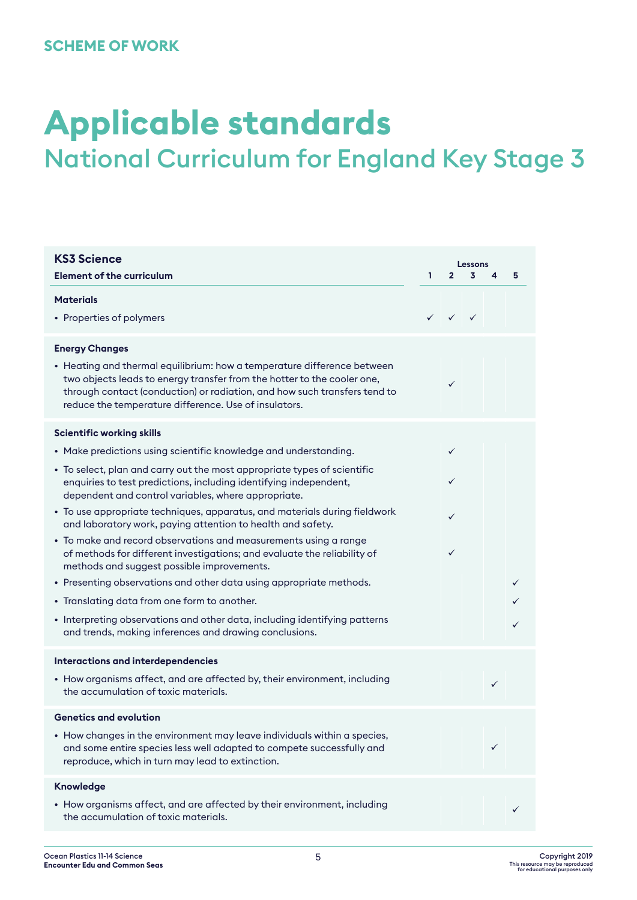# **SCHEME OF WORK**

# **Applicable standards** National Curriculum for England Key Stage 3

| <b>KS3 Science</b>                                                                                                                                                                                                                                       | Lessons |                                        |   |   |   |
|----------------------------------------------------------------------------------------------------------------------------------------------------------------------------------------------------------------------------------------------------------|---------|----------------------------------------|---|---|---|
| <b>Element of the curriculum</b>                                                                                                                                                                                                                         | ı.      | $\overline{2}$                         | 3 | 4 | 5 |
| <b>Materials</b>                                                                                                                                                                                                                                         |         |                                        |   |   |   |
| • Properties of polymers                                                                                                                                                                                                                                 |         | $\checkmark$ $\checkmark$ $\checkmark$ |   |   |   |
| <b>Energy Changes</b><br>• Heating and thermal equilibrium: how a temperature difference between<br>two objects leads to energy transfer from the hotter to the cooler one,<br>through contact (conduction) or radiation, and how such transfers tend to |         | $\checkmark$                           |   |   |   |
| reduce the temperature difference. Use of insulators.                                                                                                                                                                                                    |         |                                        |   |   |   |
| <b>Scientific working skills</b>                                                                                                                                                                                                                         |         |                                        |   |   |   |
| • Make predictions using scientific knowledge and understanding.                                                                                                                                                                                         |         | $\checkmark$                           |   |   |   |
| • To select, plan and carry out the most appropriate types of scientific<br>enquiries to test predictions, including identifying independent,<br>dependent and control variables, where appropriate.                                                     |         | ✓                                      |   |   |   |
| • To use appropriate techniques, apparatus, and materials during fieldwork<br>and laboratory work, paying attention to health and safety.                                                                                                                |         | ✓                                      |   |   |   |
| • To make and record observations and measurements using a range<br>of methods for different investigations; and evaluate the reliability of<br>methods and suggest possible improvements.                                                               |         | ✓                                      |   |   |   |
| • Presenting observations and other data using appropriate methods.                                                                                                                                                                                      |         |                                        |   |   | ✓ |
| • Translating data from one form to another.                                                                                                                                                                                                             |         |                                        |   |   |   |
| • Interpreting observations and other data, including identifying patterns<br>and trends, making inferences and drawing conclusions.                                                                                                                     |         |                                        |   |   |   |
| Interactions and interdependencies                                                                                                                                                                                                                       |         |                                        |   |   |   |
| • How organisms affect, and are affected by, their environment, including<br>the accumulation of toxic materials.                                                                                                                                        |         |                                        |   | ✓ |   |
| <b>Genetics and evolution</b>                                                                                                                                                                                                                            |         |                                        |   |   |   |
| • How changes in the environment may leave individuals within a species,<br>and some entire species less well adapted to compete successfully and<br>reproduce, which in turn may lead to extinction.                                                    |         |                                        |   | ✓ |   |
| Knowledge                                                                                                                                                                                                                                                |         |                                        |   |   |   |
| • How organisms affect, and are affected by their environment, including<br>the accumulation of toxic materials.                                                                                                                                         |         |                                        |   |   |   |
|                                                                                                                                                                                                                                                          |         |                                        |   |   |   |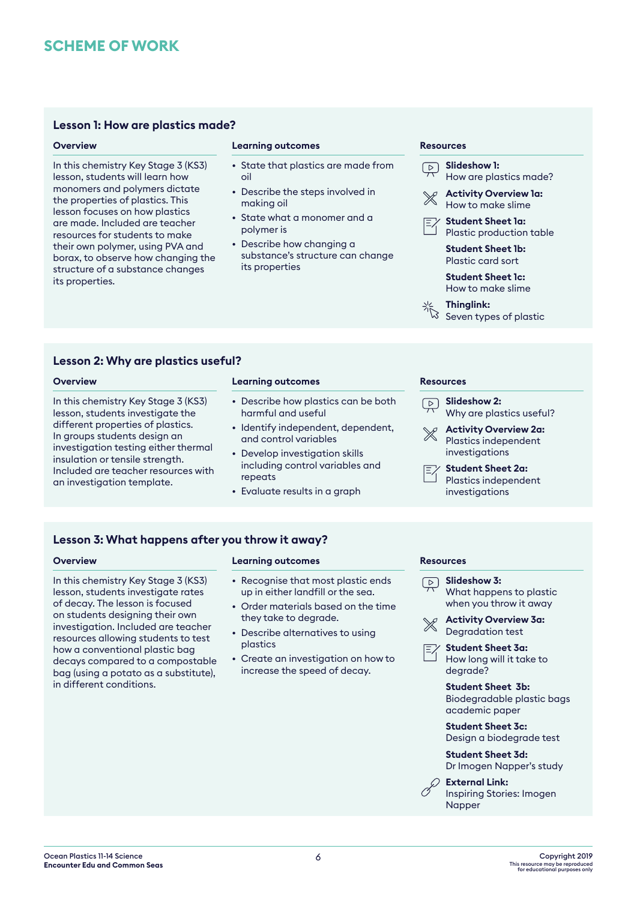# **SCHEME OF WORK**

# **Lesson 1: How are plastics made?**

# **Overview**

In this chemistry Key Stage 3 (KS3) lesson, students will learn how monomers and polymers dictate the properties of plastics. This lesson focuses on how plastics are made. Included are teacher resources for students to make their own polymer, using PVA and borax, to observe how changing the structure of a substance changes its properties.

# **Learning outcomes**

- State that plastics are made from oil
- Describe the steps involved in making oil
- State what a monomer and a polymer is
- Describe how changing a substance's structure can change its properties

### **Resources**

**Slideshow 1:**  $\boxed{\triangleright}$ How are plastics made? **Activity Overview 1a:** How to make slime **Student Sheet 1a:** Plastic production table **Student Sheet 1b:** Plastic card sort **Student Sheet 1c:** How to make slime **Thinglink:**

Seven types of plastic

**Lesson 2: Why are plastics useful?**

# **Overview**

In this chemistry Key Stage 3 (KS3) lesson, students investigate the different properties of plastics. In groups students design an investigation testing either thermal insulation or tensile strength. Included are teacher resources with an investigation template.

# **Learning outcomes**

- Describe how plastics can be both harmful and useful
- Identify independent, dependent, and control variables
- Develop investigation skills including control variables and repeats
- Evaluate results in a graph

### **Resources**

**Slideshow 2:**  $\sqrt{2}$ Why are plastics useful? **Activity Overview 2a:** Plastics independent investigations **Student Sheet 2a:** Plastics independent investigations

# Lesson 3: What happens after you throw it away? **Lesson 3: What happens after you throw it away?**

**Overview Learning outcomes**<br>
In this chemistry Key Stage 3 (KS3) Recognise that most plastic ends <u>Departicular</u> In this chemistry Key Stage 3 (KS3) lesson, students investigate rates of decay. The lesson is focused on students designing their own investigation. Included are teacher resources allowing students to test how a conventional plastic bag decays compared to a compostable bag (using a potato as a substitute), in different conditions.

# **Learning outcomes**

- Recognise that most plastic ends up in either landfill or the sea.
- Order materials based on the time they take to degrade.
- Describe alternatives to using plastics
- Create an investigation on how to increase the speed of decay.

### **Resources**

- **Slideshow 3:** What happens to plastic when you throw it away
- **Activity Overview 3a:** Degradation test

**Student Sheet 3a:** How long will it take to degrade?

**Student Sheet 3b:** Biodegradable plastic bags academic paper

**Student Sheet 3c:** Design a biodegrade test

**Student Sheet 3d:** Dr Imogen Napper's study

**External Link:** Inspiring Stories: Imogen

Napper